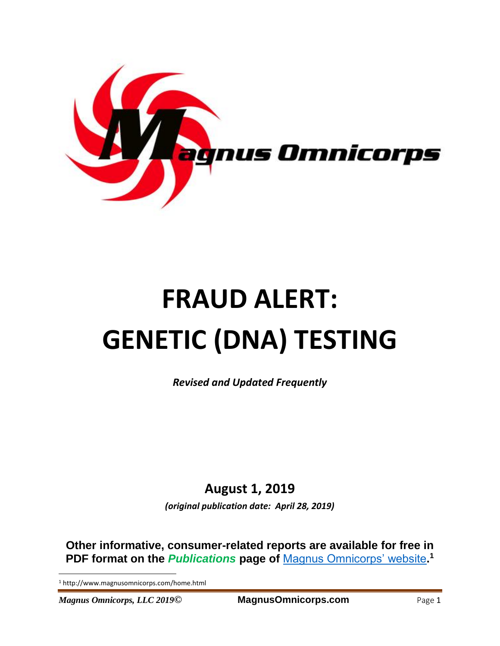

# **FRAUD ALERT: GENETIC (DNA) TESTING**

*Revised and Updated Frequently*

## **August 1, 2019**

*(original publication date: April 28, 2019)*

**Other informative, consumer-related reports are available for free in PDF format on the** *Publications* **page of** [Magnus Omnicorps' website](http://www.magnusomnicorps.com/home.html)**. 1**

<sup>1</sup> http://www.magnusomnicorps.com/home.html

*Magnus Omnicorps, LLC 2019***© MagnusOmnicorps.com** Page 1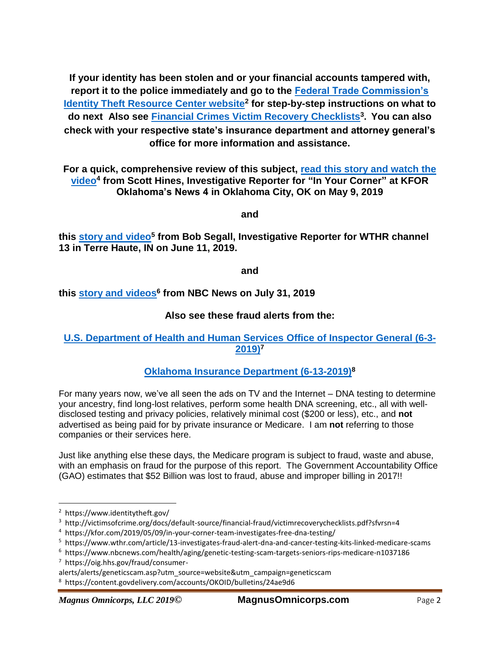**If your identity has been stolen and or your financial accounts tampered with, report it to the police immediately and go to the [Federal Trade Commission's](https://www.identitytheft.gov/)  [Identity Theft Resource Center website](https://www.identitytheft.gov/)<sup>2</sup> for step-by-step instructions on what to do next Also see [Financial Crimes Victim Recovery Checklists](http://victimsofcrime.org/docs/default-source/financial-fraud/victimrecoverychecklists.pdf?sfvrsn=4)<sup>3</sup> . You can also check with your respective state's insurance department and attorney general's office for more information and assistance.**

**For a quick, comprehensive review of this subject, [read this story and watch the](https://kfor.com/2019/05/09/in-your-corner-team-investigates-free-dna-testing/)  [video](https://kfor.com/2019/05/09/in-your-corner-team-investigates-free-dna-testing/)<sup>4</sup> from Scott Hines, Investigative Reporter for "In Your Corner" at KFOR Oklahoma's News 4 in Oklahoma City, OK on May 9, 2019**

**and**

**this [story and video](https://www.wthr.com/article/13-investigates-fraud-alert-dna-and-cancer-testing-kits-linked-medicare-scams)<sup>5</sup> from Bob Segall, Investigative Reporter for WTHR channel 13 in Terre Haute, IN on June 11, 2019.**

**and**

**this [story and videos](https://www.nbcnews.com/health/aging/genetic-testing-scam-targets-seniors-rips-medicare-n1037186) 6 from NBC News on July 31, 2019**

#### **Also see these fraud alerts from the:**

#### **[U.S. Department of Health and Human Services Office of Inspector General \(6-3-](https://oig.hhs.gov/fraud/consumer-alerts/alerts/geneticscam.asp?utm_source=website&utm_campaign=geneticscam) [2019\)](https://oig.hhs.gov/fraud/consumer-alerts/alerts/geneticscam.asp?utm_source=website&utm_campaign=geneticscam)<sup>7</sup>**

**[Oklahoma Insurance Department](https://content.govdelivery.com/accounts/OKOID/bulletins/24ae9d6) (6-13-2019)<sup>8</sup>**

For many years now, we've all seen the ads on TV and the Internet – DNA testing to determine your ancestry, find long-lost relatives, perform some health DNA screening, etc., all with welldisclosed testing and privacy policies, relatively minimal cost (\$200 or less), etc., and **not** advertised as being paid for by private insurance or Medicare. I am **not** referring to those companies or their services here.

Just like anything else these days, the Medicare program is subject to fraud, waste and abuse, with an emphasis on fraud for the purpose of this report. The Government Accountability Office (GAO) estimates that \$52 Billion was lost to fraud, abuse and improper billing in 2017!!

<sup>2</sup> https://www.identitytheft.gov/

<sup>3</sup> http://victimsofcrime.org/docs/default-source/financial-fraud/victimrecoverychecklists.pdf?sfvrsn=4

<sup>4</sup> https://kfor.com/2019/05/09/in-your-corner-team-investigates-free-dna-testing/

<sup>5</sup> <https://www.wthr.com/article/13-investigates-fraud-alert-dna-and-cancer-testing-kits-linked-medicare-scams>

<sup>6</sup> https://www.nbcnews.com/health/aging/genetic-testing-scam-targets-seniors-rips-medicare-n1037186 7 [https://oig.hhs.gov/fraud/consumer-](https://oig.hhs.gov/fraud/consumer-alerts/alerts/geneticscam.asp?utm_source=website&utm_campaign=geneticscam)

[alerts/alerts/geneticscam.asp?utm\\_source=website&utm\\_campaign=geneticscam](https://oig.hhs.gov/fraud/consumer-alerts/alerts/geneticscam.asp?utm_source=website&utm_campaign=geneticscam)

<sup>8</sup> <https://content.govdelivery.com/accounts/OKOID/bulletins/24ae9d6>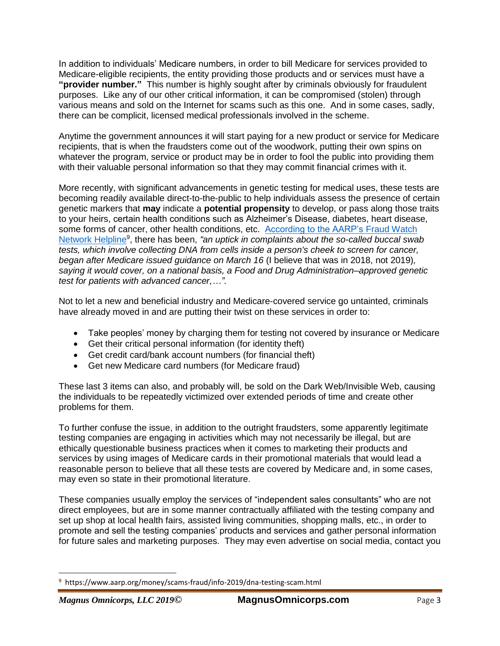In addition to individuals' Medicare numbers, in order to bill Medicare for services provided to Medicare-eligible recipients, the entity providing those products and or services must have a **"provider number."** This number is highly sought after by criminals obviously for fraudulent purposes. Like any of our other critical information, it can be compromised (stolen) through various means and sold on the Internet for scams such as this one. And in some cases, sadly, there can be complicit, licensed medical professionals involved in the scheme.

Anytime the government announces it will start paying for a new product or service for Medicare recipients, that is when the fraudsters come out of the woodwork, putting their own spins on whatever the program, service or product may be in order to fool the public into providing them with their valuable personal information so that they may commit financial crimes with it.

More recently, with significant advancements in genetic testing for medical uses, these tests are becoming readily available direct-to-the-public to help individuals assess the presence of certain genetic markers that **may** indicate a **potential propensity** to develop, or pass along those traits to your heirs, certain health conditions such as Alzheimer's Disease, diabetes, heart disease, some forms of cancer, other health conditions, etc. [According to the AARP's Fraud Watch](https://www.aarp.org/money/scams-fraud/info-2019/dna-testing-scam.html)  [Network Helpline](https://www.aarp.org/money/scams-fraud/info-2019/dna-testing-scam.html)<sup>9</sup>, there has been, "an uptick in complaints about the so-called buccal swab *tests, which involve collecting DNA from cells inside a person's cheek to screen for cancer, began after Medicare issued guidance on March 16* (I believe that was in 2018, not 2019)*, saying it would cover, on a national basis, a Food and Drug Administration–approved genetic test for patients with advanced cancer,…"*.

Not to let a new and beneficial industry and Medicare-covered service go untainted, criminals have already moved in and are putting their twist on these services in order to:

- Take peoples' money by charging them for testing not covered by insurance or Medicare
- Get their critical personal information (for identity theft)
- Get credit card/bank account numbers (for financial theft)
- Get new Medicare card numbers (for Medicare fraud)

These last 3 items can also, and probably will, be sold on the Dark Web/Invisible Web, causing the individuals to be repeatedly victimized over extended periods of time and create other problems for them.

To further confuse the issue, in addition to the outright fraudsters, some apparently legitimate testing companies are engaging in activities which may not necessarily be illegal, but are ethically questionable business practices when it comes to marketing their products and services by using images of Medicare cards in their promotional materials that would lead a reasonable person to believe that all these tests are covered by Medicare and, in some cases, may even so state in their promotional literature.

These companies usually employ the services of "independent sales consultants" who are not direct employees, but are in some manner contractually affiliated with the testing company and set up shop at local health fairs, assisted living communities, shopping malls, etc., in order to promote and sell the testing companies' products and services and gather personal information for future sales and marketing purposes. They may even advertise on social media, contact you

 $\overline{\phantom{a}}$ 

<sup>9</sup> https://www.aarp.org/money/scams-fraud/info-2019/dna-testing-scam.html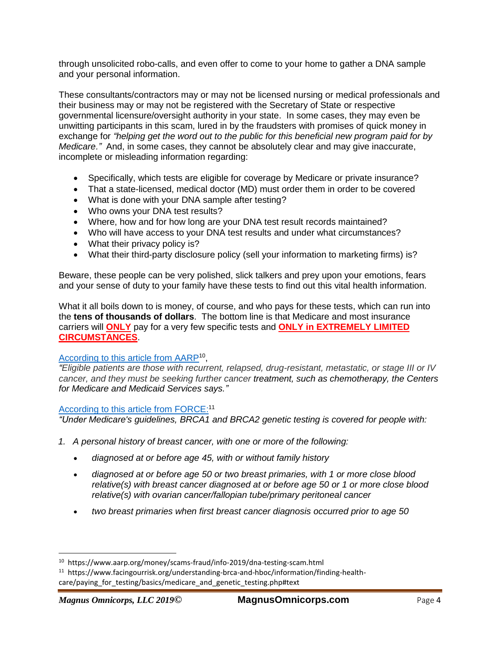through unsolicited robo-calls, and even offer to come to your home to gather a DNA sample and your personal information.

These consultants/contractors may or may not be licensed nursing or medical professionals and their business may or may not be registered with the Secretary of State or respective governmental licensure/oversight authority in your state. In some cases, they may even be unwitting participants in this scam, lured in by the fraudsters with promises of quick money in exchange for *"helping get the word out to the public for this beneficial new program paid for by Medicare."* And, in some cases, they cannot be absolutely clear and may give inaccurate, incomplete or misleading information regarding:

- Specifically, which tests are eligible for coverage by Medicare or private insurance?
- That a state-licensed, medical doctor (MD) must order them in order to be covered
- What is done with your DNA sample after testing?
- Who owns your DNA test results?
- Where, how and for how long are your DNA test result records maintained?
- Who will have access to your DNA test results and under what circumstances?
- What their privacy policy is?
- What their third-party disclosure policy (sell your information to marketing firms) is?

Beware, these people can be very polished, slick talkers and prey upon your emotions, fears and your sense of duty to your family have these tests to find out this vital health information.

What it all boils down to is money, of course, and who pays for these tests, which can run into the **tens of thousands of dollars**. The bottom line is that Medicare and most insurance carriers will **ONLY** pay for a very few specific tests and **ONLY in EXTREMELY LIMITED CIRCUMSTANCES**.

#### [According to this article from AARP](https://www.aarp.org/money/scams-fraud/info-2019/dna-testing-scam.html)<sup>10</sup>,

*"Eligible patients are those with recurrent, relapsed, drug-resistant, metastatic, or stage III or IV cancer, and they must be seeking further cancer treatment, such as chemotherapy, the Centers for Medicare and Medicaid Services says."*

#### [According to this article from FORCE:](https://www.facingourrisk.org/understanding-brca-and-hboc/information/finding-health-care/paying_for_testing/basics/medicare_and_genetic_testing.php#text)<sup>11</sup>

*"Under Medicare's guidelines, BRCA1 and BRCA2 genetic testing is covered for people with:*

- *1. A personal history of breast cancer, with one or more of the following:*
	- *diagnosed at or before age 45, with or without family history*
	- *diagnosed at or before age 50 or two breast primaries, with 1 or more close blood relative(s) with breast cancer diagnosed at or before age 50 or 1 or more close blood relative(s) with ovarian cancer/fallopian tube/primary peritoneal cancer*
	- *two breast primaries when first breast cancer diagnosis occurred prior to age 50*

<sup>10</sup> https://www.aarp.org/money/scams-fraud/info-2019/dna-testing-scam.html

<sup>&</sup>lt;sup>11</sup> https://www.facingourrisk.org/understanding-brca-and-hboc/information/finding-healthcare/paying for testing/basics/medicare and genetic testing.php#text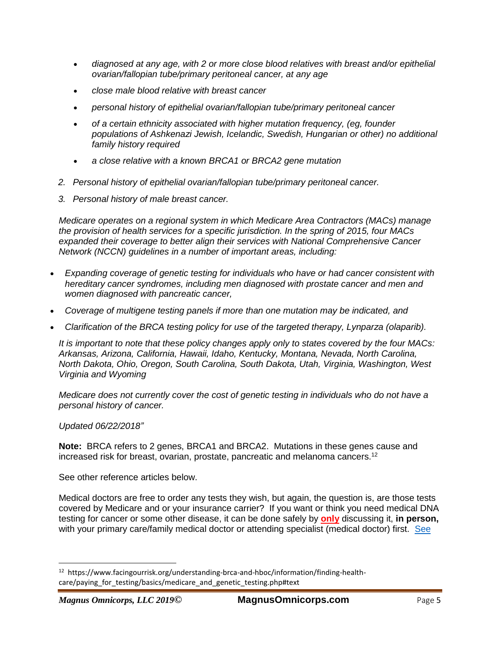- *diagnosed at any age, with 2 or more close blood relatives with breast and/or epithelial ovarian/fallopian tube/primary peritoneal cancer, at any age*
- *close male blood relative with breast cancer*
- *personal history of epithelial ovarian/fallopian tube/primary peritoneal cancer*
- *of a certain ethnicity associated with higher mutation frequency, (eg, founder populations of Ashkenazi Jewish, Icelandic, Swedish, Hungarian or other) no additional family history required*
- *a close relative with a known BRCA1 or BRCA2 gene mutation*
- *2. Personal history of epithelial ovarian/fallopian tube/primary peritoneal cancer.*
- *3. Personal history of male breast cancer.*

*Medicare operates on a regional system in which Medicare Area Contractors (MACs) manage the provision of health services for a specific jurisdiction. In the spring of 2015, four MACs expanded their coverage to better align their services with National Comprehensive Cancer Network (NCCN) guidelines in a number of important areas, including:*

- *Expanding coverage of genetic testing for individuals who have or had cancer consistent with hereditary cancer syndromes, including men diagnosed with prostate cancer and men and women diagnosed with pancreatic cancer,*
- *Coverage of multigene testing panels if more than one mutation may be indicated, and*
- *Clarification of the BRCA testing policy for use of the targeted therapy, Lynparza (olaparib).*

*It is important to note that these policy changes apply only to states covered by the four MACs: Arkansas, Arizona, California, Hawaii, Idaho, Kentucky, Montana, Nevada, North Carolina, North Dakota, Ohio, Oregon, South Carolina, South Dakota, Utah, Virginia, Washington, West Virginia and Wyoming*

*Medicare does not currently cover the cost of genetic testing in individuals who do not have a personal history of cancer.*

#### *Updated 06/22/2018"*

**Note:** BRCA refers to 2 genes, BRCA1 and BRCA2. Mutations in these genes cause and increased risk for breast, ovarian, prostate, pancreatic and melanoma cancers.<sup>12</sup>

See other reference articles below.

Medical doctors are free to order any tests they wish, but again, the question is, are those tests covered by Medicare and or your insurance carrier? If you want or think you need medical DNA testing for cancer or some other disease, it can be done safely by **only** discussing it, **in person,** with your primary care/family medical doctor or attending specialist (medical doctor) first. [See](https://www.cms.gov/Outreach-and-Education/Medicare-Learning-Network-MLN/MLNProducts/Downloads/ProviderComplianceTipsforLaboratoryTests-ICN909407.pdf) 

 $\overline{\phantom{a}}$ 

<sup>&</sup>lt;sup>12</sup> https://www.facingourrisk.org/understanding-brca-and-hboc/information/finding-healthcare/paying for testing/basics/medicare and genetic testing.php#text

*Magnus Omnicorps, LLC 2019***© MagnusOmnicorps.com** Page 5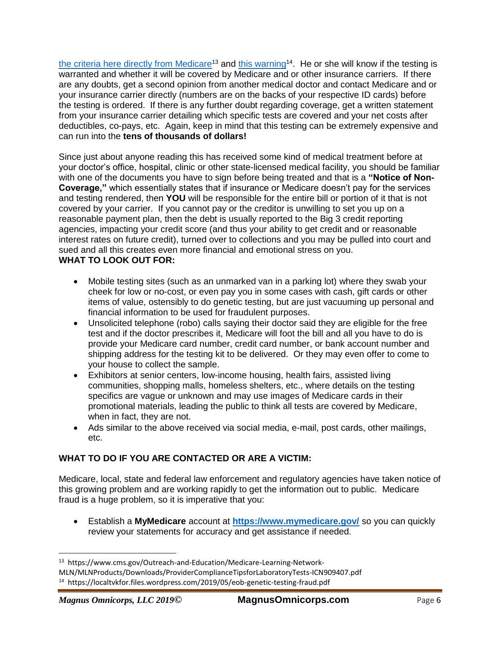[the criteria here directly from Medicare](https://www.cms.gov/Outreach-and-Education/Medicare-Learning-Network-MLN/MLNProducts/Downloads/ProviderComplianceTipsforLaboratoryTests-ICN909407.pdf)<sup>13</sup> and [this warning](https://localtvkfor.files.wordpress.com/2019/05/eob-genetic-testing-fraud.pdf)<sup>14</sup>. He or she will know if the testing is warranted and whether it will be covered by Medicare and or other insurance carriers. If there are any doubts, get a second opinion from another medical doctor and contact Medicare and or your insurance carrier directly (numbers are on the backs of your respective ID cards) before the testing is ordered. If there is any further doubt regarding coverage, get a written statement from your insurance carrier detailing which specific tests are covered and your net costs after deductibles, co-pays, etc. Again, keep in mind that this testing can be extremely expensive and can run into the **tens of thousands of dollars!**

Since just about anyone reading this has received some kind of medical treatment before at your doctor's office, hospital, clinic or other state-licensed medical facility, you should be familiar with one of the documents you have to sign before being treated and that is a **"Notice of Non-Coverage,"** which essentially states that if insurance or Medicare doesn't pay for the services and testing rendered, then **YOU** will be responsible for the entire bill or portion of it that is not covered by your carrier. If you cannot pay or the creditor is unwilling to set you up on a reasonable payment plan, then the debt is usually reported to the Big 3 credit reporting agencies, impacting your credit score (and thus your ability to get credit and or reasonable interest rates on future credit), turned over to collections and you may be pulled into court and sued and all this creates even more financial and emotional stress on you. **WHAT TO LOOK OUT FOR:**

- Mobile testing sites (such as an unmarked van in a parking lot) where they swab your cheek for low or no-cost, or even pay you in some cases with cash, gift cards or other items of value, ostensibly to do genetic testing, but are just vacuuming up personal and financial information to be used for fraudulent purposes.
- Unsolicited telephone (robo) calls saying their doctor said they are eligible for the free test and if the doctor prescribes it, Medicare will foot the bill and all you have to do is provide your Medicare card number, credit card number, or bank account number and shipping address for the testing kit to be delivered. Or they may even offer to come to your house to collect the sample.
- Exhibitors at senior centers, low-income housing, health fairs, assisted living communities, shopping malls, homeless shelters, etc., where details on the testing specifics are vague or unknown and may use images of Medicare cards in their promotional materials, leading the public to think all tests are covered by Medicare, when in fact, they are not.
- Ads similar to the above received via social media, e-mail, post cards, other mailings, etc.

#### **WHAT TO DO IF YOU ARE CONTACTED OR ARE A VICTIM:**

Medicare, local, state and federal law enforcement and regulatory agencies have taken notice of this growing problem and are working rapidly to get the information out to public. Medicare fraud is a huge problem, so it is imperative that you:

• Establish a **MyMedicare** account at **<https://www.mymedicare.gov/>** so you can quickly review your statements for accuracy and get assistance if needed.

<sup>&</sup>lt;sup>13</sup> https://www.cms.gov/Outreach-and-Education/Medicare-Learning-Network-MLN/MLNProducts/Downloads/ProviderComplianceTipsforLaboratoryTests-ICN909407.pdf 14 https://localtvkfor.files.wordpress.com/2019/05/eob-genetic-testing-fraud.pdf

*Magnus Omnicorps, LLC 2019***© MagnusOmnicorps.com** Page 6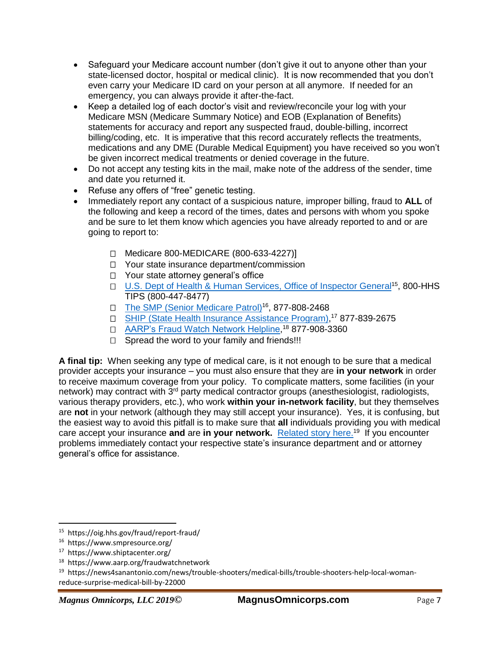- Safeguard your Medicare account number (don't give it out to anyone other than your state-licensed doctor, hospital or medical clinic). It is now recommended that you don't even carry your Medicare ID card on your person at all anymore. If needed for an emergency, you can always provide it after-the-fact.
- Keep a detailed log of each doctor's visit and review/reconcile your log with your Medicare MSN (Medicare Summary Notice) and EOB (Explanation of Benefits) statements for accuracy and report any suspected fraud, double-billing, incorrect billing/coding, etc. It is imperative that this record accurately reflects the treatments, medications and any DME (Durable Medical Equipment) you have received so you won't be given incorrect medical treatments or denied coverage in the future.
- Do not accept any testing kits in the mail, make note of the address of the sender, time and date you returned it.
- Refuse any offers of "free" genetic testing.
- Immediately report any contact of a suspicious nature, improper billing, fraud to **ALL** of the following and keep a record of the times, dates and persons with whom you spoke and be sure to let them know which agencies you have already reported to and or are going to report to:
	- Medicare 800-MEDICARE (800-633-4227)]
	- □ Your state insurance department/commission
	- □ Your state attorney general's office
	- □ [U.S. Dept of Health & Human Services, Office of Inspector General](https://oig.hhs.gov/fraud/report-fraud/)<sup>15</sup>, 800-HHS TIPS (800-447-8477)
	- □ The SMP [\(Senior Medicare Patrol\)](https://www.smpresource.org/)<sup>16</sup>, 877-808-2468
	- □ [SHIP \(State Health Insurance Assistance Program\),](https://www.shiptacenter.org/)<sup>17</sup> 877-839-2675
	- □ <u>AARP's Fraud Watch Network Helpline</u>,<sup>18</sup> 877-908-3360
	- $\Box$  Spread the word to your family and friends!!!

**A final tip:** When seeking any type of medical care, is it not enough to be sure that a medical provider accepts your insurance – you must also ensure that they are **in your network** in order to receive maximum coverage from your policy. To complicate matters, some facilities (in your network) may contract with 3<sup>rd</sup> party medical contractor groups (anesthesiologist, radiologists, various therapy providers, etc.), who work **within your in-network facility**, but they themselves are **not** in your network (although they may still accept your insurance). Yes, it is confusing, but the easiest way to avoid this pitfall is to make sure that **all** individuals providing you with medical care accept your insurance and are in your network. [Related story here.](https://news4sanantonio.com/news/trouble-shooters/medical-bills/trouble-shooters-help-local-woman-reduce-surprise-medical-bill-by-22000)<sup>19</sup> If you encounter problems immediately contact your respective state's insurance department and or attorney general's office for assistance.

l 15 https://oig.hhs.gov/fraud/report-fraud/

<sup>16</sup> https://www.smpresource.org/

<sup>17</sup> https://www.shiptacenter.org/

<sup>18</sup> https://www.aarp.org/fraudwatchnetwork

<sup>&</sup>lt;sup>19</sup> https://news4sanantonio.com/news/trouble-shooters/medical-bills/trouble-shooters-help-local-womanreduce-surprise-medical-bill-by-22000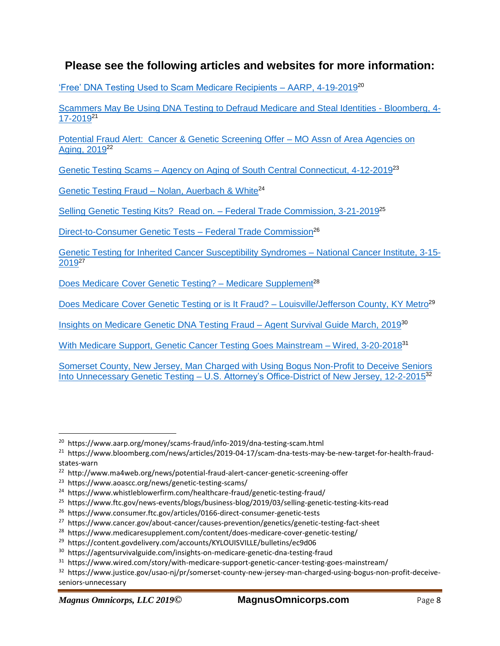### **Please see the following articles and websites for more information:**

['Free' DNA Testing Used to Scam Medicare Recipients –](https://www.aarp.org/money/scams-fraud/info-2019/dna-testing-scam.html) AARP, 4-19-2019<sup>20</sup>

[Scammers May Be Using DNA Testing to Defraud Medicare and Steal Identities -](https://www.bloomberg.com/news/articles/2019-04-17/scam-dna-tests-may-be-new-target-for-health-fraud-states-warn) Bloomberg, 4- [17-2019](https://www.bloomberg.com/news/articles/2019-04-17/scam-dna-tests-may-be-new-target-for-health-fraud-states-warn)<sup>21</sup>

[Potential Fraud Alert: Cancer & Genetic Screening Offer –](http://www.ma4web.org/news/potential-fraud-alert-cancer-genetic-screening-offer) MO Assn of Area Agencies on [Aging, 2019](http://www.ma4web.org/news/potential-fraud-alert-cancer-genetic-screening-offer)<sup>22</sup>

Genetic Testing Scams – [Agency on Aging of South Central Connecticut, 4-12-2019](https://www.aoascc.org/news/genetic-testing-scams/)<sup>23</sup>

Genetic Testing Fraud - [Nolan, Auerbach & White](https://www.whistleblowerfirm.com/healthcare-fraud/genetic-testing-fraud/)<sup>24</sup>

[Selling Genetic Testing Kits? Read on. –](https://www.ftc.gov/news-events/blogs/business-blog/2019/03/selling-genetic-testing-kits-read) Federal Trade Commission, 3-21-2019<sup>25</sup>

[Direct-to-Consumer Genetic Tests –](https://www.consumer.ftc.gov/articles/0166-direct-consumer-genetic-tests) Federal Trade Commission<sup>26</sup>

[Genetic Testing for Inherited Cancer Susceptibility Syndromes –](https://www.cancer.gov/about-cancer/causes-prevention/genetics/genetic-testing-fact-sheet) National Cancer Institute, 3-15- [2019](https://www.cancer.gov/about-cancer/causes-prevention/genetics/genetic-testing-fact-sheet)<sup>27</sup>

Does Medicare Cover Genetic Testing? - Medicare Supplement<sup>28</sup>

[Does Medicare Cover Genetic Testing or is It Fraud? –](https://content.govdelivery.com/accounts/KYLOUISVILLE/bulletins/ec9d06) Louisville/Jefferson County, KY Metro<sup>29</sup>

[Insights on Medicare Genetic DNA Testing Fraud –](https://agentsurvivalguide.com/insights-on-medicare-genetic-dna-testing-fraud) Agent Survival Guide March, 2019<sup>30</sup>

[With Medicare Support, Genetic Cancer Testing Goes Mainstream –](https://www.wired.com/story/with-medicare-support-genetic-cancer-testing-goes-mainstream/) Wired, 3-20-2018<sup>31</sup>

[Somerset County, New Jersey, Man Charged with Using Bogus Non-Profit to Deceive Seniors](https://www.justice.gov/usao-nj/pr/somerset-county-new-jersey-man-charged-using-bogus-non-profit-deceive-seniors-unnecessary)  Into Unnecessary Genetic Testing – [U.S. Attorney's Office-District of New Jersey, 12-2-2015](https://www.justice.gov/usao-nj/pr/somerset-county-new-jersey-man-charged-using-bogus-non-profit-deceive-seniors-unnecessary)<sup>32</sup>

<sup>&</sup>lt;sup>20</sup> https://www.aarp.org/money/scams-fraud/info-2019/dna-testing-scam.html

<sup>&</sup>lt;sup>21</sup> https://www.bloomberg.com/news/articles/2019-04-17/scam-dna-tests-may-be-new-target-for-health-fraudstates-warn

<sup>&</sup>lt;sup>22</sup> http://www.ma4web.org/news/potential-fraud-alert-cancer-genetic-screening-offer

<sup>&</sup>lt;sup>23</sup> https://www.aoascc.org/news/genetic-testing-scams/

<sup>&</sup>lt;sup>24</sup> https://www.whistleblowerfirm.com/healthcare-fraud/genetic-testing-fraud/

<sup>&</sup>lt;sup>25</sup> https://www.ftc.gov/news-events/blogs/business-blog/2019/03/selling-genetic-testing-kits-read

<sup>26</sup> https://www.consumer.ftc.gov/articles/0166-direct-consumer-genetic-tests

<sup>27</sup> https://www.cancer.gov/about-cancer/causes-prevention/genetics/genetic-testing-fact-sheet

<sup>&</sup>lt;sup>28</sup> https://www.medicaresupplement.com/content/does-medicare-cover-genetic-testing/

<sup>29</sup> https://content.govdelivery.com/accounts/KYLOUISVILLE/bulletins/ec9d06

<sup>&</sup>lt;sup>30</sup> https://agentsurvivalguide.com/insights-on-medicare-genetic-dna-testing-fraud

<sup>&</sup>lt;sup>31</sup> https://www.wired.com/story/with-medicare-support-genetic-cancer-testing-goes-mainstream/

<sup>&</sup>lt;sup>32</sup> https://www.justice.gov/usao-nj/pr/somerset-county-new-jersey-man-charged-using-bogus-non-profit-deceiveseniors-unnecessary